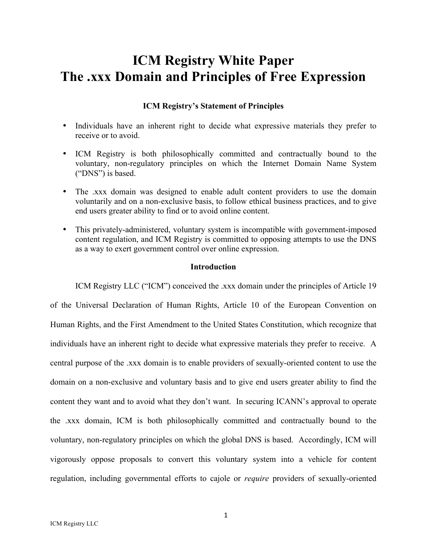# **ICM Registry White Paper The .xxx Domain and Principles of Free Expression**

# **ICM Registry's Statement of Principles**

- Individuals have an inherent right to decide what expressive materials they prefer to receive or to avoid.
- ICM Registry is both philosophically committed and contractually bound to the voluntary, non-regulatory principles on which the Internet Domain Name System ("DNS") is based.
- The .xxx domain was designed to enable adult content providers to use the domain voluntarily and on a non-exclusive basis, to follow ethical business practices, and to give end users greater ability to find or to avoid online content.
- This privately-administered, voluntary system is incompatible with government-imposed content regulation, and ICM Registry is committed to opposing attempts to use the DNS as a way to exert government control over online expression.

## **Introduction**

ICM Registry LLC ("ICM") conceived the .xxx domain under the principles of Article 19 of the Universal Declaration of Human Rights, Article 10 of the European Convention on Human Rights, and the First Amendment to the United States Constitution, which recognize that individuals have an inherent right to decide what expressive materials they prefer to receive. A central purpose of the .xxx domain is to enable providers of sexually-oriented content to use the domain on a non-exclusive and voluntary basis and to give end users greater ability to find the content they want and to avoid what they don't want. In securing ICANN's approval to operate the .xxx domain, ICM is both philosophically committed and contractually bound to the voluntary, non-regulatory principles on which the global DNS is based. Accordingly, ICM will vigorously oppose proposals to convert this voluntary system into a vehicle for content regulation, including governmental efforts to cajole or *require* providers of sexually-oriented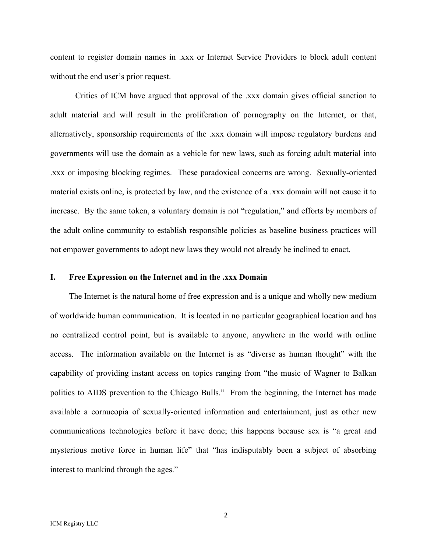content to register domain names in .xxx or Internet Service Providers to block adult content without the end user's prior request.

Critics of ICM have argued that approval of the .xxx domain gives official sanction to adult material and will result in the proliferation of pornography on the Internet, or that, alternatively, sponsorship requirements of the .xxx domain will impose regulatory burdens and governments will use the domain as a vehicle for new laws, such as forcing adult material into .xxx or imposing blocking regimes. These paradoxical concerns are wrong. Sexually-oriented material exists online, is protected by law, and the existence of a .xxx domain will not cause it to increase. By the same token, a voluntary domain is not "regulation," and efforts by members of the adult online community to establish responsible policies as baseline business practices will not empower governments to adopt new laws they would not already be inclined to enact.

#### **I. Free Expression on the Internet and in the .xxx Domain**

The Internet is the natural home of free expression and is a unique and wholly new medium of worldwide human communication. It is located in no particular geographical location and has no centralized control point, but is available to anyone, anywhere in the world with online access. The information available on the Internet is as "diverse as human thought" with the capability of providing instant access on topics ranging from "the music of Wagner to Balkan politics to AIDS prevention to the Chicago Bulls." From the beginning, the Internet has made available a cornucopia of sexually-oriented information and entertainment, just as other new communications technologies before it have done; this happens because sex is "a great and mysterious motive force in human life" that "has indisputably been a subject of absorbing interest to mankind through the ages."

2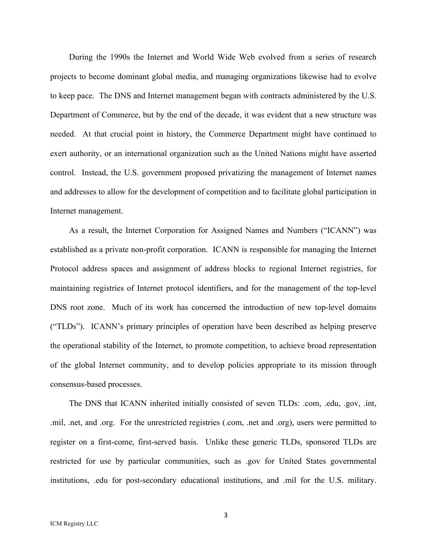During the 1990s the Internet and World Wide Web evolved from a series of research projects to become dominant global media, and managing organizations likewise had to evolve to keep pace. The DNS and Internet management began with contracts administered by the U.S. Department of Commerce, but by the end of the decade, it was evident that a new structure was needed. At that crucial point in history, the Commerce Department might have continued to exert authority, or an international organization such as the United Nations might have asserted control. Instead, the U.S. government proposed privatizing the management of Internet names and addresses to allow for the development of competition and to facilitate global participation in Internet management.

As a result, the Internet Corporation for Assigned Names and Numbers ("ICANN") was established as a private non-profit corporation. ICANN is responsible for managing the Internet Protocol address spaces and assignment of address blocks to regional Internet registries, for maintaining registries of Internet protocol identifiers, and for the management of the top-level DNS root zone. Much of its work has concerned the introduction of new top-level domains ("TLDs"). ICANN's primary principles of operation have been described as helping preserve the operational stability of the Internet, to promote competition, to achieve broad representation of the global Internet community, and to develop policies appropriate to its mission through consensus-based processes.

The DNS that ICANN inherited initially consisted of seven TLDs: .com, .edu, .gov, .int, .mil, .net, and .org. For the unrestricted registries (.com, .net and .org), users were permitted to register on a first-come, first-served basis. Unlike these generic TLDs, sponsored TLDs are restricted for use by particular communities, such as .gov for United States governmental institutions, .edu for post-secondary educational institutions, and .mil for the U.S. military.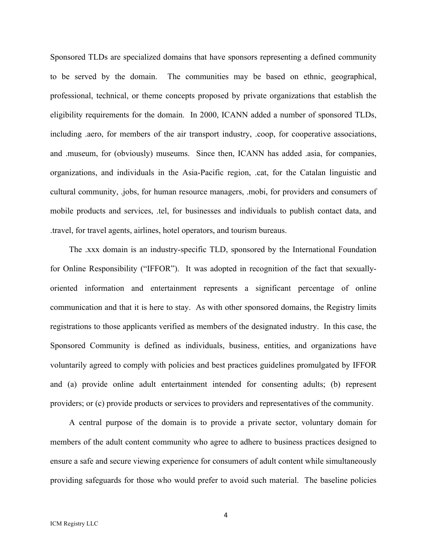Sponsored TLDs are specialized domains that have sponsors representing a defined community to be served by the domain. The communities may be based on ethnic, geographical, professional, technical, or theme concepts proposed by private organizations that establish the eligibility requirements for the domain. In 2000, ICANN added a number of sponsored TLDs, including .aero, for members of the air transport industry, .coop, for cooperative associations, and .museum, for (obviously) museums. Since then, ICANN has added .asia, for companies, organizations, and individuals in the Asia-Pacific region, .cat, for the Catalan linguistic and cultural community, .jobs, for human resource managers, .mobi, for providers and consumers of mobile products and services, .tel, for businesses and individuals to publish contact data, and .travel, for travel agents, airlines, hotel operators, and tourism bureaus.

The .xxx domain is an industry-specific TLD, sponsored by the International Foundation for Online Responsibility ("IFFOR"). It was adopted in recognition of the fact that sexuallyoriented information and entertainment represents a significant percentage of online communication and that it is here to stay. As with other sponsored domains, the Registry limits registrations to those applicants verified as members of the designated industry. In this case, the Sponsored Community is defined as individuals, business, entities, and organizations have voluntarily agreed to comply with policies and best practices guidelines promulgated by IFFOR and (a) provide online adult entertainment intended for consenting adults; (b) represent providers; or (c) provide products or services to providers and representatives of the community.

A central purpose of the domain is to provide a private sector, voluntary domain for members of the adult content community who agree to adhere to business practices designed to ensure a safe and secure viewing experience for consumers of adult content while simultaneously providing safeguards for those who would prefer to avoid such material. The baseline policies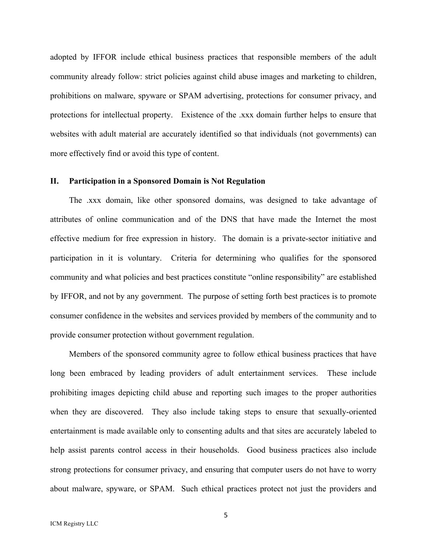adopted by IFFOR include ethical business practices that responsible members of the adult community already follow: strict policies against child abuse images and marketing to children, prohibitions on malware, spyware or SPAM advertising, protections for consumer privacy, and protections for intellectual property. Existence of the .xxx domain further helps to ensure that websites with adult material are accurately identified so that individuals (not governments) can more effectively find or avoid this type of content.

### **II. Participation in a Sponsored Domain is Not Regulation**

The .xxx domain, like other sponsored domains, was designed to take advantage of attributes of online communication and of the DNS that have made the Internet the most effective medium for free expression in history. The domain is a private-sector initiative and participation in it is voluntary. Criteria for determining who qualifies for the sponsored community and what policies and best practices constitute "online responsibility" are established by IFFOR, and not by any government. The purpose of setting forth best practices is to promote consumer confidence in the websites and services provided by members of the community and to provide consumer protection without government regulation.

Members of the sponsored community agree to follow ethical business practices that have long been embraced by leading providers of adult entertainment services. These include prohibiting images depicting child abuse and reporting such images to the proper authorities when they are discovered. They also include taking steps to ensure that sexually-oriented entertainment is made available only to consenting adults and that sites are accurately labeled to help assist parents control access in their households. Good business practices also include strong protections for consumer privacy, and ensuring that computer users do not have to worry about malware, spyware, or SPAM. Such ethical practices protect not just the providers and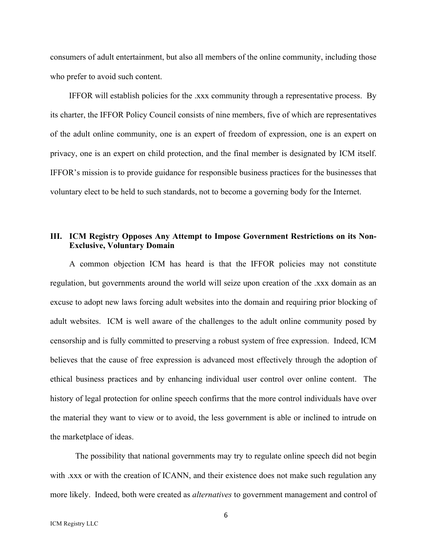consumers of adult entertainment, but also all members of the online community, including those who prefer to avoid such content.

IFFOR will establish policies for the .xxx community through a representative process. By its charter, the IFFOR Policy Council consists of nine members, five of which are representatives of the adult online community, one is an expert of freedom of expression, one is an expert on privacy, one is an expert on child protection, and the final member is designated by ICM itself. IFFOR's mission is to provide guidance for responsible business practices for the businesses that voluntary elect to be held to such standards, not to become a governing body for the Internet.

# **III. ICM Registry Opposes Any Attempt to Impose Government Restrictions on its Non-Exclusive, Voluntary Domain**

A common objection ICM has heard is that the IFFOR policies may not constitute regulation, but governments around the world will seize upon creation of the .xxx domain as an excuse to adopt new laws forcing adult websites into the domain and requiring prior blocking of adult websites. ICM is well aware of the challenges to the adult online community posed by censorship and is fully committed to preserving a robust system of free expression. Indeed, ICM believes that the cause of free expression is advanced most effectively through the adoption of ethical business practices and by enhancing individual user control over online content. The history of legal protection for online speech confirms that the more control individuals have over the material they want to view or to avoid, the less government is able or inclined to intrude on the marketplace of ideas.

The possibility that national governments may try to regulate online speech did not begin with xxx or with the creation of ICANN, and their existence does not make such regulation any more likely. Indeed, both were created as *alternatives* to government management and control of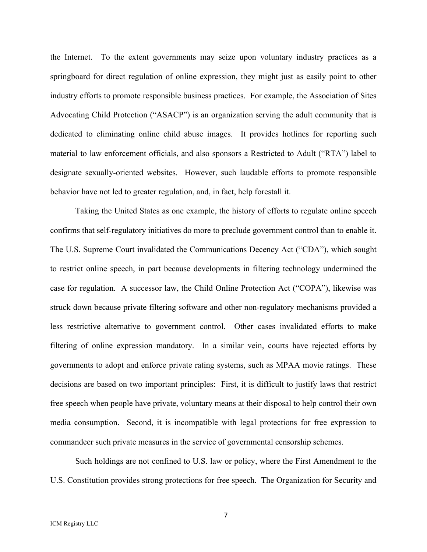the Internet. To the extent governments may seize upon voluntary industry practices as a springboard for direct regulation of online expression, they might just as easily point to other industry efforts to promote responsible business practices. For example, the Association of Sites Advocating Child Protection ("ASACP") is an organization serving the adult community that is dedicated to eliminating online child abuse images. It provides hotlines for reporting such material to law enforcement officials, and also sponsors a Restricted to Adult ("RTA") label to designate sexually-oriented websites. However, such laudable efforts to promote responsible behavior have not led to greater regulation, and, in fact, help forestall it.

Taking the United States as one example, the history of efforts to regulate online speech confirms that self-regulatory initiatives do more to preclude government control than to enable it. The U.S. Supreme Court invalidated the Communications Decency Act ("CDA"), which sought to restrict online speech, in part because developments in filtering technology undermined the case for regulation. A successor law, the Child Online Protection Act ("COPA"), likewise was struck down because private filtering software and other non-regulatory mechanisms provided a less restrictive alternative to government control. Other cases invalidated efforts to make filtering of online expression mandatory. In a similar vein, courts have rejected efforts by governments to adopt and enforce private rating systems, such as MPAA movie ratings. These decisions are based on two important principles: First, it is difficult to justify laws that restrict free speech when people have private, voluntary means at their disposal to help control their own media consumption. Second, it is incompatible with legal protections for free expression to commandeer such private measures in the service of governmental censorship schemes.

Such holdings are not confined to U.S. law or policy, where the First Amendment to the U.S. Constitution provides strong protections for free speech. The Organization for Security and

7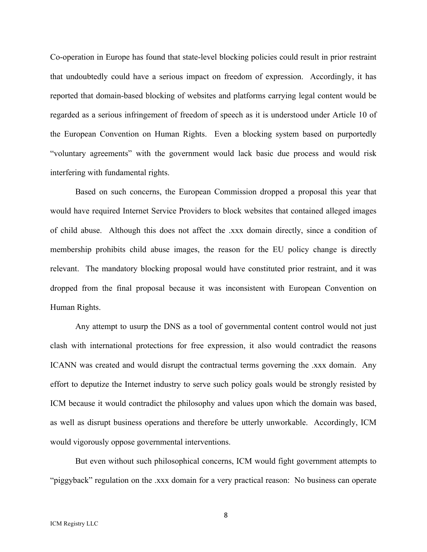Co-operation in Europe has found that state-level blocking policies could result in prior restraint that undoubtedly could have a serious impact on freedom of expression. Accordingly, it has reported that domain-based blocking of websites and platforms carrying legal content would be regarded as a serious infringement of freedom of speech as it is understood under Article 10 of the European Convention on Human Rights. Even a blocking system based on purportedly "voluntary agreements" with the government would lack basic due process and would risk interfering with fundamental rights.

Based on such concerns, the European Commission dropped a proposal this year that would have required Internet Service Providers to block websites that contained alleged images of child abuse. Although this does not affect the .xxx domain directly, since a condition of membership prohibits child abuse images, the reason for the EU policy change is directly relevant. The mandatory blocking proposal would have constituted prior restraint, and it was dropped from the final proposal because it was inconsistent with European Convention on Human Rights.

Any attempt to usurp the DNS as a tool of governmental content control would not just clash with international protections for free expression, it also would contradict the reasons ICANN was created and would disrupt the contractual terms governing the .xxx domain. Any effort to deputize the Internet industry to serve such policy goals would be strongly resisted by ICM because it would contradict the philosophy and values upon which the domain was based, as well as disrupt business operations and therefore be utterly unworkable. Accordingly, ICM would vigorously oppose governmental interventions.

But even without such philosophical concerns, ICM would fight government attempts to "piggyback" regulation on the .xxx domain for a very practical reason: No business can operate

8